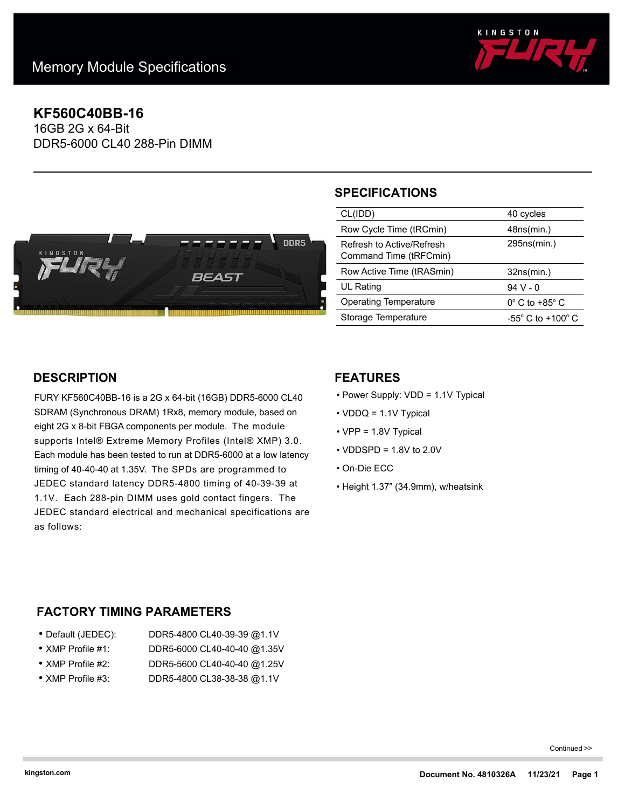

# **KF560C40BB-16**

16GB 2G x 64-Bit DDR5-6000 CL40 288-Pin DIMM



## **SPECIFICATIONS**

| CL(IDD)                                             | 40 cycles                             |
|-----------------------------------------------------|---------------------------------------|
| Row Cycle Time (tRCmin)                             | 48ns(min.)                            |
| Refresh to Active/Refresh<br>Command Time (tRFCmin) | 295ns(min.)                           |
| Row Active Time (tRASmin)                           | 32ns(min.)                            |
| UL Rating                                           | $94V - 0$                             |
| <b>Operating Temperature</b>                        | $0^\circ$ C to +85 $^\circ$ C         |
| Storage Temperature                                 | -55 $^{\circ}$ C to +100 $^{\circ}$ C |

### **DESCRIPTION**

FURY KF560C40BB-16 is a 2G x 64-bit (16GB) DDR5-6000 CL40 SDRAM (Synchronous DRAM) 1Rx8, memory module, based on eight 2G x 8-bit FBGA components per module. The module supports Intel® Extreme Memory Profiles (Intel® XMP) 3.0. Each module has been tested to run at DDR5-6000 at a low latency timing of 40-40-40 at 1.35V. The SPDs are programmed to JEDEC standard latency DDR5-4800 timing of 40-39-39 at 1.1V. Each 288-pin DIMM uses gold contact fingers. The JEDEC standard electrical and mechanical specifications are as follows:

#### **FEATURES**

- Power Supply: VDD = 1.1V Typical
- VDDQ = 1.1V Typical
- VPP = 1.8V Typical
- $\cdot$  VDDSPD = 1.8V to 2.0V
- On-Die ECC
- Height 1.37" (34.9mm), w/heatsink

#### **FACTORY TIMING PARAMETERS**

| ● Default (JEDEC):        | DDR5-4800 CL40-39-39 @1.1V  |
|---------------------------|-----------------------------|
| $\bullet$ XMP Profile #1: | DDR5-6000 CL40-40-40 @1.35V |
| • XMP Profile #2:         | DDR5-5600 CL40-40-40 @1.25V |

• XMP Profile #3: DDR5-4800 CL38-38-38 @1.1V

Continued >>